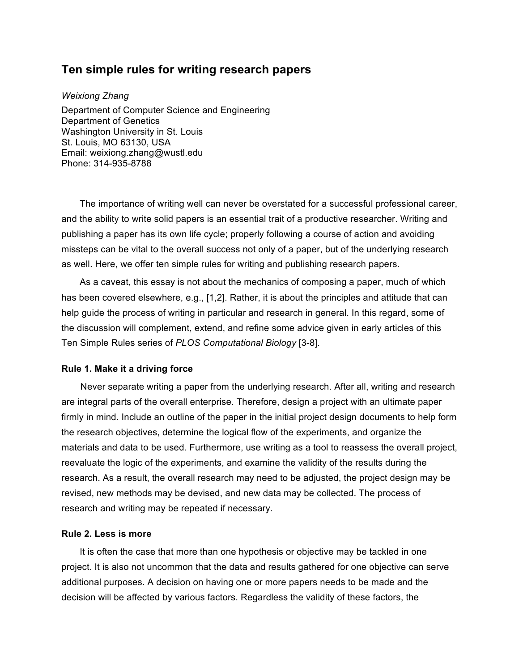# **Ten simple rules for writing research papers**

*Weixiong Zhang* Department of Computer Science and Engineering Department of Genetics Washington University in St. Louis St. Louis, MO 63130, USA Email: weixiong.zhang@wustl.edu Phone: 314-935-8788

The importance of writing well can never be overstated for a successful professional career, and the ability to write solid papers is an essential trait of a productive researcher. Writing and publishing a paper has its own life cycle; properly following a course of action and avoiding missteps can be vital to the overall success not only of a paper, but of the underlying research as well. Here, we offer ten simple rules for writing and publishing research papers.

As a caveat, this essay is not about the mechanics of composing a paper, much of which has been covered elsewhere, e.g., [1,2]. Rather, it is about the principles and attitude that can help guide the process of writing in particular and research in general. In this regard, some of the discussion will complement, extend, and refine some advice given in early articles of this Ten Simple Rules series of *PLOS Computational Biology* [3-8].

# **Rule 1. Make it a driving force**

Never separate writing a paper from the underlying research. After all, writing and research are integral parts of the overall enterprise. Therefore, design a project with an ultimate paper firmly in mind. Include an outline of the paper in the initial project design documents to help form the research objectives, determine the logical flow of the experiments, and organize the materials and data to be used. Furthermore, use writing as a tool to reassess the overall project, reevaluate the logic of the experiments, and examine the validity of the results during the research. As a result, the overall research may need to be adjusted, the project design may be revised, new methods may be devised, and new data may be collected. The process of research and writing may be repeated if necessary.

#### **Rule 2. Less is more**

It is often the case that more than one hypothesis or objective may be tackled in one project. It is also not uncommon that the data and results gathered for one objective can serve additional purposes. A decision on having one or more papers needs to be made and the decision will be affected by various factors. Regardless the validity of these factors, the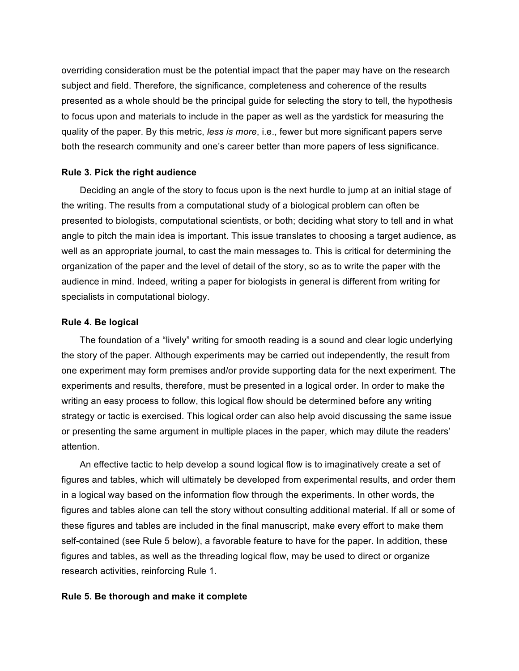overriding consideration must be the potential impact that the paper may have on the research subject and field. Therefore, the significance, completeness and coherence of the results presented as a whole should be the principal guide for selecting the story to tell, the hypothesis to focus upon and materials to include in the paper as well as the yardstick for measuring the quality of the paper. By this metric, *less is more*, i.e., fewer but more significant papers serve both the research community and one's career better than more papers of less significance.

# **Rule 3. Pick the right audience**

Deciding an angle of the story to focus upon is the next hurdle to jump at an initial stage of the writing. The results from a computational study of a biological problem can often be presented to biologists, computational scientists, or both; deciding what story to tell and in what angle to pitch the main idea is important. This issue translates to choosing a target audience, as well as an appropriate journal, to cast the main messages to. This is critical for determining the organization of the paper and the level of detail of the story, so as to write the paper with the audience in mind. Indeed, writing a paper for biologists in general is different from writing for specialists in computational biology.

# **Rule 4. Be logical**

The foundation of a "lively" writing for smooth reading is a sound and clear logic underlying the story of the paper. Although experiments may be carried out independently, the result from one experiment may form premises and/or provide supporting data for the next experiment. The experiments and results, therefore, must be presented in a logical order. In order to make the writing an easy process to follow, this logical flow should be determined before any writing strategy or tactic is exercised. This logical order can also help avoid discussing the same issue or presenting the same argument in multiple places in the paper, which may dilute the readers' attention.

An effective tactic to help develop a sound logical flow is to imaginatively create a set of figures and tables, which will ultimately be developed from experimental results, and order them in a logical way based on the information flow through the experiments. In other words, the figures and tables alone can tell the story without consulting additional material. If all or some of these figures and tables are included in the final manuscript, make every effort to make them self-contained (see Rule 5 below), a favorable feature to have for the paper. In addition, these figures and tables, as well as the threading logical flow, may be used to direct or organize research activities, reinforcing Rule 1.

### **Rule 5. Be thorough and make it complete**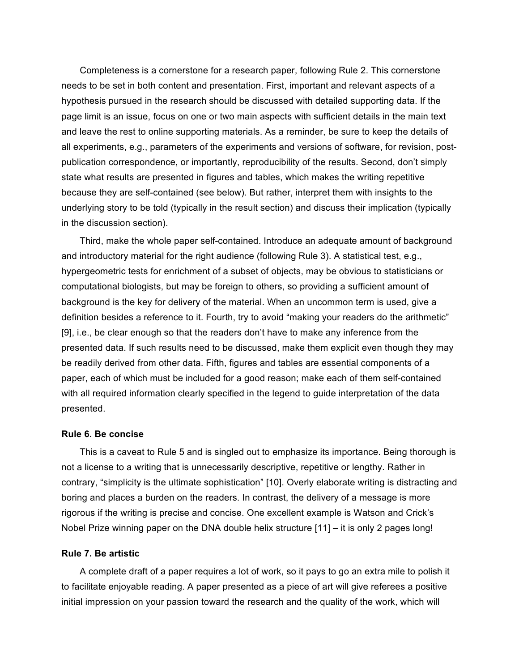Completeness is a cornerstone for a research paper, following Rule 2. This cornerstone needs to be set in both content and presentation. First, important and relevant aspects of a hypothesis pursued in the research should be discussed with detailed supporting data. If the page limit is an issue, focus on one or two main aspects with sufficient details in the main text and leave the rest to online supporting materials. As a reminder, be sure to keep the details of all experiments, e.g., parameters of the experiments and versions of software, for revision, postpublication correspondence, or importantly, reproducibility of the results. Second, don't simply state what results are presented in figures and tables, which makes the writing repetitive because they are self-contained (see below). But rather, interpret them with insights to the underlying story to be told (typically in the result section) and discuss their implication (typically in the discussion section).

Third, make the whole paper self-contained. Introduce an adequate amount of background and introductory material for the right audience (following Rule 3). A statistical test, e.g., hypergeometric tests for enrichment of a subset of objects, may be obvious to statisticians or computational biologists, but may be foreign to others, so providing a sufficient amount of background is the key for delivery of the material. When an uncommon term is used, give a definition besides a reference to it. Fourth, try to avoid "making your readers do the arithmetic" [9], i.e., be clear enough so that the readers don't have to make any inference from the presented data. If such results need to be discussed, make them explicit even though they may be readily derived from other data. Fifth, figures and tables are essential components of a paper, each of which must be included for a good reason; make each of them self-contained with all required information clearly specified in the legend to guide interpretation of the data presented.

#### **Rule 6. Be concise**

This is a caveat to Rule 5 and is singled out to emphasize its importance. Being thorough is not a license to a writing that is unnecessarily descriptive, repetitive or lengthy. Rather in contrary, "simplicity is the ultimate sophistication" [10]. Overly elaborate writing is distracting and boring and places a burden on the readers. In contrast, the delivery of a message is more rigorous if the writing is precise and concise. One excellent example is Watson and Crick's Nobel Prize winning paper on the DNA double helix structure [11] – it is only 2 pages long!

#### **Rule 7. Be artistic**

A complete draft of a paper requires a lot of work, so it pays to go an extra mile to polish it to facilitate enjoyable reading. A paper presented as a piece of art will give referees a positive initial impression on your passion toward the research and the quality of the work, which will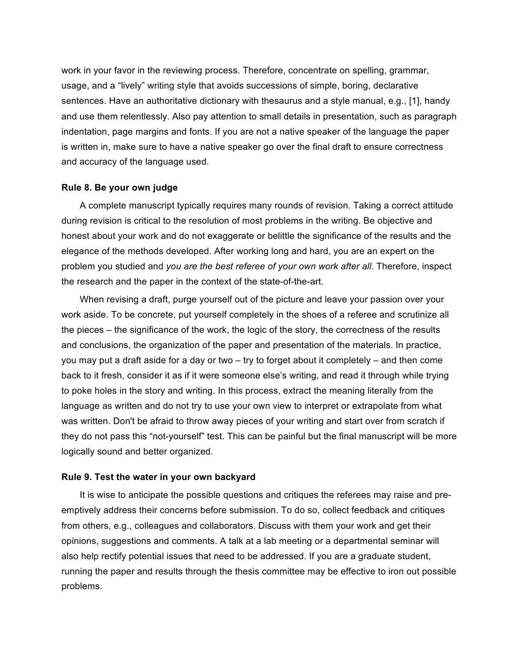work in your favor in the reviewing process. Therefore, concentrate on spelling, grammar, usage, and a "lively" writing style that avoids successions of simple, boring, declarative sentences. Have an authoritative dictionary with thesaurus and a style manual, e.g., [1], handy and use them relentlessly. Also pay attention to small details in presentation, such as paragraph indentation, page margins and fonts. If you are not a native speaker of the language the paper is written in, make sure to have a native speaker go over the final draft to ensure correctness and accuracy of the language used.

#### **Rule 8. Be your own judge**

A complete manuscript typically requires many rounds of revision. Taking a correct attitude during revision is critical to the resolution of most problems in the writing. Be objective and honest about your work and do not exaggerate or belittle the significance of the results and the elegance of the methods developed. After working long and hard, you are an expert on the problem you studied and *you are the best referee of your own work after all*. Therefore, inspect the research and the paper in the context of the state-of-the-art.

When revising a draft, purge yourself out of the picture and leave your passion over your work aside. To be concrete, put yourself completely in the shoes of a referee and scrutinize all the pieces – the significance of the work, the logic of the story, the correctness of the results and conclusions, the organization of the paper and presentation of the materials. In practice, you may put a draft aside for a day or two – try to forget about it completely – and then come back to it fresh, consider it as if it were someone else's writing, and read it through while trying to poke holes in the story and writing. In this process, extract the meaning literally from the language as written and do not try to use your own view to interpret or extrapolate from what was written. Don't be afraid to throw away pieces of your writing and start over from scratch if they do not pass this "not-yourself" test. This can be painful but the final manuscript will be more logically sound and better organized.

#### **Rule 9. Test the water in your own backyard**

It is wise to anticipate the possible questions and critiques the referees may raise and preemptively address their concerns before submission. To do so, collect feedback and critiques from others, e.g., colleagues and collaborators. Discuss with them your work and get their opinions, suggestions and comments. A talk at a lab meeting or a departmental seminar will also help rectify potential issues that need to be addressed. If you are a graduate student, running the paper and results through the thesis committee may be effective to iron out possible problems.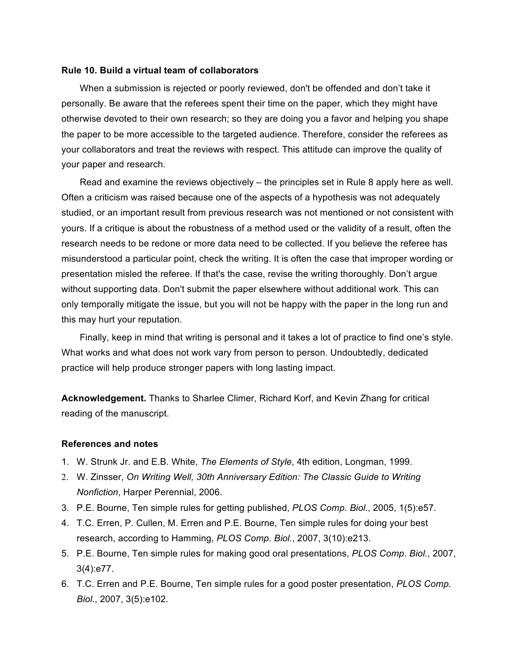# **Rule 10. Build a virtual team of collaborators**

When a submission is rejected or poorly reviewed, don't be offended and don't take it personally. Be aware that the referees spent their time on the paper, which they might have otherwise devoted to their own research; so they are doing you a favor and helping you shape the paper to be more accessible to the targeted audience. Therefore, consider the referees as your collaborators and treat the reviews with respect. This attitude can improve the quality of your paper and research.

Read and examine the reviews objectively – the principles set in Rule 8 apply here as well. Often a criticism was raised because one of the aspects of a hypothesis was not adequately studied, or an important result from previous research was not mentioned or not consistent with yours. If a critique is about the robustness of a method used or the validity of a result, often the research needs to be redone or more data need to be collected. If you believe the referee has misunderstood a particular point, check the writing. It is often the case that improper wording or presentation misled the referee. If that's the case, revise the writing thoroughly. Don't argue without supporting data. Don't submit the paper elsewhere without additional work. This can only temporally mitigate the issue, but you will not be happy with the paper in the long run and this may hurt your reputation.

Finally, keep in mind that writing is personal and it takes a lot of practice to find one's style. What works and what does not work vary from person to person. Undoubtedly, dedicated practice will help produce stronger papers with long lasting impact.

**Acknowledgement.** Thanks to Sharlee Climer, Richard Korf, and Kevin Zhang for critical reading of the manuscript.

# **References and notes**

- 1. W. Strunk Jr. and E.B. White, *The Elements of Style*, 4th edition, Longman, 1999.
- 2. W. Zinsser, *On Writing Well, 30th Anniversary Edition: The Classic Guide to Writing Nonfiction*, Harper Perennial, 2006.
- 3. P.E. Bourne, Ten simple rules for getting published, *PLOS Comp. Biol.*, 2005, 1(5):e57.
- 4. T.C. Erren, P. Cullen, M. Erren and P.E. Bourne, Ten simple rules for doing your best research, according to Hamming, *PLOS Comp. Biol.*, 2007, 3(10):e213.
- 5. P.E. Bourne, Ten simple rules for making good oral presentations, *PLOS Comp. Biol.*, 2007, 3(4):e77.
- 6. T.C. Erren and P.E. Bourne, Ten simple rules for a good poster presentation, *PLOS Comp. Biol.*, 2007, 3(5):e102.